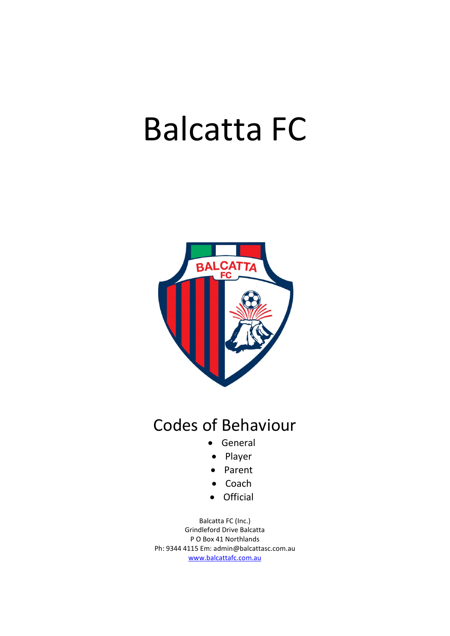# Balcatta FC



# Codes of Behaviour

- General
- Player
- Parent
- Coach
- Official

Balcatta FC (Inc.) Grindleford Drive Balcatta P O Box 41 Northlands Ph: 9344 4115 Em: admin@balcattasc.com.au www.balcattafc.com.au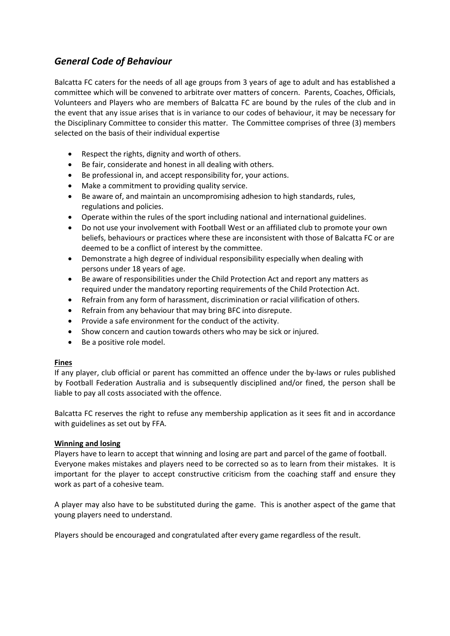# General Code of Behaviour

Balcatta FC caters for the needs of all age groups from 3 years of age to adult and has established a committee which will be convened to arbitrate over matters of concern. Parents, Coaches, Officials, Volunteers and Players who are members of Balcatta FC are bound by the rules of the club and in the event that any issue arises that is in variance to our codes of behaviour, it may be necessary for the Disciplinary Committee to consider this matter. The Committee comprises of three (3) members selected on the basis of their individual expertise

- Respect the rights, dignity and worth of others.
- Be fair, considerate and honest in all dealing with others.
- Be professional in, and accept responsibility for, your actions.
- Make a commitment to providing quality service.
- Be aware of, and maintain an uncompromising adhesion to high standards, rules, regulations and policies.
- Operate within the rules of the sport including national and international guidelines.
- Do not use your involvement with Football West or an affiliated club to promote your own beliefs, behaviours or practices where these are inconsistent with those of Balcatta FC or are deemed to be a conflict of interest by the committee.
- Demonstrate a high degree of individual responsibility especially when dealing with persons under 18 years of age.
- Be aware of responsibilities under the Child Protection Act and report any matters as required under the mandatory reporting requirements of the Child Protection Act.
- Refrain from any form of harassment, discrimination or racial vilification of others.
- Refrain from any behaviour that may bring BFC into disrepute.
- Provide a safe environment for the conduct of the activity.
- Show concern and caution towards others who may be sick or injured.
- Be a positive role model.

#### Fines

If any player, club official or parent has committed an offence under the by-laws or rules published by Football Federation Australia and is subsequently disciplined and/or fined, the person shall be liable to pay all costs associated with the offence.

Balcatta FC reserves the right to refuse any membership application as it sees fit and in accordance with guidelines as set out by FFA.

#### Winning and losing

Players have to learn to accept that winning and losing are part and parcel of the game of football. Everyone makes mistakes and players need to be corrected so as to learn from their mistakes. It is important for the player to accept constructive criticism from the coaching staff and ensure they work as part of a cohesive team.

A player may also have to be substituted during the game. This is another aspect of the game that young players need to understand.

Players should be encouraged and congratulated after every game regardless of the result.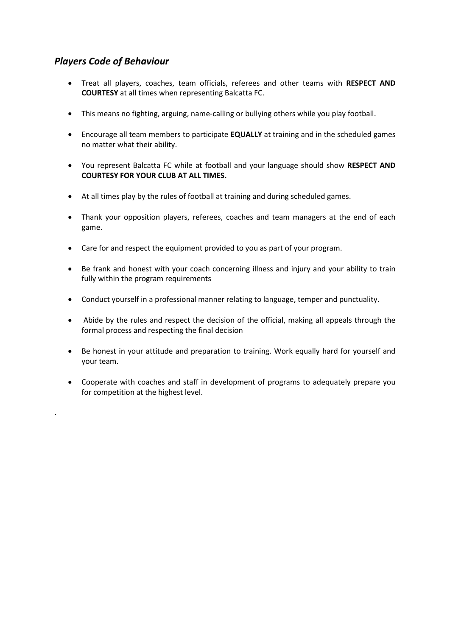# Players Code of Behaviour

.

- Treat all players, coaches, team officials, referees and other teams with RESPECT AND COURTESY at all times when representing Balcatta FC.
- This means no fighting, arguing, name-calling or bullying others while you play football.
- Encourage all team members to participate **EQUALLY** at training and in the scheduled games no matter what their ability.
- You represent Balcatta FC while at football and your language should show RESPECT AND COURTESY FOR YOUR CLUB AT ALL TIMES.
- At all times play by the rules of football at training and during scheduled games.
- Thank your opposition players, referees, coaches and team managers at the end of each game.
- Care for and respect the equipment provided to you as part of your program.
- Be frank and honest with your coach concerning illness and injury and your ability to train fully within the program requirements
- Conduct yourself in a professional manner relating to language, temper and punctuality.
- Abide by the rules and respect the decision of the official, making all appeals through the formal process and respecting the final decision
- Be honest in your attitude and preparation to training. Work equally hard for yourself and your team.
- Cooperate with coaches and staff in development of programs to adequately prepare you for competition at the highest level.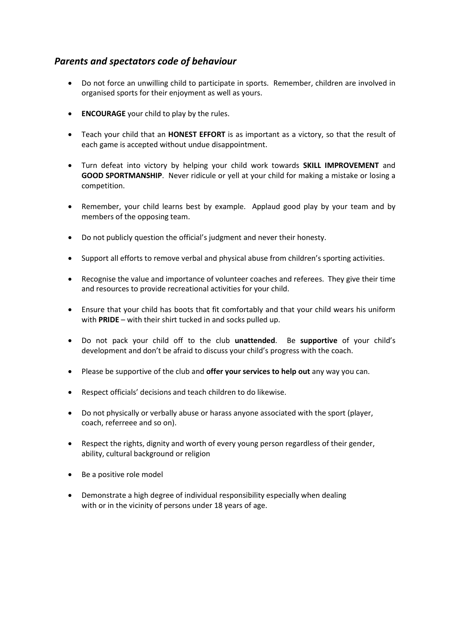# Parents and spectators code of behaviour

- Do not force an unwilling child to participate in sports. Remember, children are involved in organised sports for their enjoyment as well as yours.
- **ENCOURAGE** your child to play by the rules.
- Teach your child that an HONEST EFFORT is as important as a victory, so that the result of each game is accepted without undue disappointment.
- Turn defeat into victory by helping your child work towards **SKILL IMPROVEMENT** and GOOD SPORTMANSHIP. Never ridicule or yell at your child for making a mistake or losing a competition.
- Remember, your child learns best by example. Applaud good play by your team and by members of the opposing team.
- Do not publicly question the official's judgment and never their honesty.
- Support all efforts to remove verbal and physical abuse from children's sporting activities.
- Recognise the value and importance of volunteer coaches and referees. They give their time and resources to provide recreational activities for your child.
- Ensure that your child has boots that fit comfortably and that your child wears his uniform with PRIDE – with their shirt tucked in and socks pulled up.
- Do not pack your child off to the club unattended. Be supportive of your child's development and don't be afraid to discuss your child's progress with the coach.
- Please be supportive of the club and offer your services to help out any way you can.
- Respect officials' decisions and teach children to do likewise.
- Do not physically or verbally abuse or harass anyone associated with the sport (player, coach, referreee and so on).
- Respect the rights, dignity and worth of every young person regardless of their gender, ability, cultural background or religion
- Be a positive role model
- Demonstrate a high degree of individual responsibility especially when dealing with or in the vicinity of persons under 18 years of age.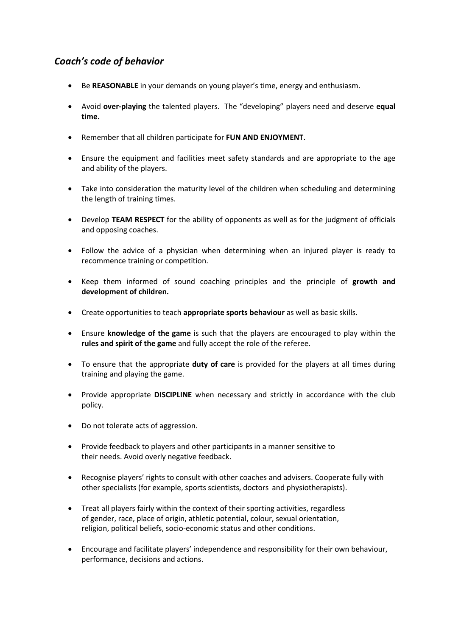# Coach's code of behavior

- Be REASONABLE in your demands on young player's time, energy and enthusiasm.
- Avoid over-playing the talented players. The "developing" players need and deserve equal time.
- Remember that all children participate for FUN AND ENJOYMENT.
- Ensure the equipment and facilities meet safety standards and are appropriate to the age and ability of the players.
- Take into consideration the maturity level of the children when scheduling and determining the length of training times.
- Develop TEAM RESPECT for the ability of opponents as well as for the judgment of officials and opposing coaches.
- Follow the advice of a physician when determining when an injured player is ready to recommence training or competition.
- Keep them informed of sound coaching principles and the principle of growth and development of children.
- **•** Create opportunities to teach **appropriate sports behaviour** as well as basic skills.
- Ensure knowledge of the game is such that the players are encouraged to play within the rules and spirit of the game and fully accept the role of the referee.
- To ensure that the appropriate duty of care is provided for the players at all times during training and playing the game.
- Provide appropriate DISCIPLINE when necessary and strictly in accordance with the club policy.
- Do not tolerate acts of aggression.
- Provide feedback to players and other participants in a manner sensitive to their needs. Avoid overly negative feedback.
- Recognise players' rights to consult with other coaches and advisers. Cooperate fully with other specialists (for example, sports scientists, doctors and physiotherapists).
- Treat all players fairly within the context of their sporting activities, regardless of gender, race, place of origin, athletic potential, colour, sexual orientation, religion, political beliefs, socio-economic status and other conditions.
- Encourage and facilitate players' independence and responsibility for their own behaviour, performance, decisions and actions.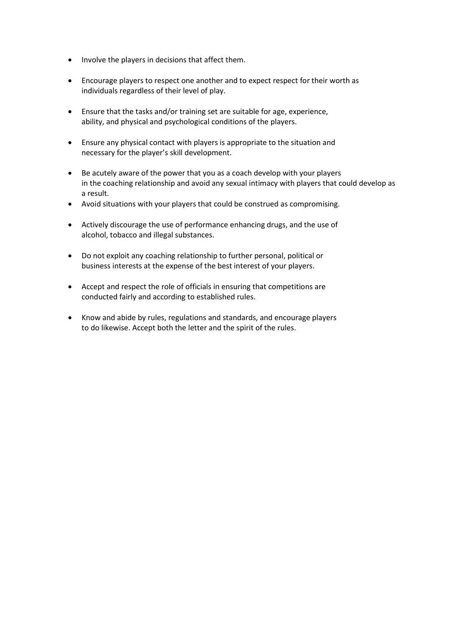- Involve the players in decisions that affect them.
- Encourage players to respect one another and to expect respect for their worth as individuals regardless of their level of play.
- Ensure that the tasks and/or training set are suitable for age, experience, ability, and physical and psychological conditions of the players.
- Ensure any physical contact with players is appropriate to the situation and necessary for the player's skill development.
- Be acutely aware of the power that you as a coach develop with your players in the coaching relationship and avoid any sexual intimacy with players that could develop as a result.
- Avoid situations with your players that could be construed as compromising.
- Actively discourage the use of performance enhancing drugs, and the use of alcohol, tobacco and illegal substances.
- Do not exploit any coaching relationship to further personal, political or business interests at the expense of the best interest of your players.
- Accept and respect the role of officials in ensuring that competitions are conducted fairly and according to established rules.
- Know and abide by rules, regulations and standards, and encourage players to do likewise. Accept both the letter and the spirit of the rules.